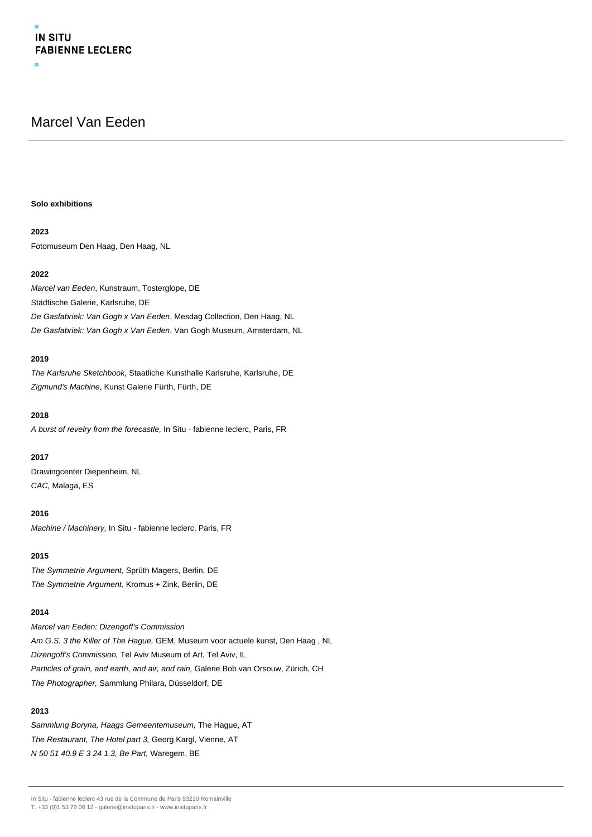# Marcel Van Eeden

## **Solo exhibitions**

## **2023**

Fotomuseum Den Haag, Den Haag, NL

## **2022**

Marcel van Eeden, Kunstraum, Tosterglope, DE Städtische Galerie, Karlsruhe, DE De Gasfabriek: Van Gogh x Van Eeden, Mesdag Collection, Den Haag, NL De Gasfabriek: Van Gogh x Van Eeden, Van Gogh Museum, Amsterdam, NL

## **2019**

The Karlsruhe Sketchbook, Staatliche Kunsthalle Karlsruhe, Karlsruhe, DE Zigmund's Machine, Kunst Galerie Fürth, Fürth, DE

## **2018**

A burst of revelry from the forecastle, In Situ - fabienne leclerc, Paris, FR

## **2017**

Drawingcenter Diepenheim, NL CAC, Malaga, ES

## **2016**

Machine / Machinery, In Situ - fabienne leclerc, Paris, FR

## **2015**

The Symmetrie Argument, Sprüth Magers, Berlin, DE The Symmetrie Argument, Kromus + Zink, Berlin, DE

## **2014**

Marcel van Eeden: Dizengoff's Commission Am G.S. 3 the Killer of The Hague, GEM, Museum voor actuele kunst, Den Haag , NL Dizengoff's Commission, Tel Aviv Museum of Art, Tel Aviv, IL Particles of grain, and earth, and air, and rain, Galerie Bob van Orsouw, Zürich, CH The Photographer, Sammlung Philara, Düsseldorf, DE

## **2013**

Sammlung Boryna, Haags Gemeentemuseum, The Hague, AT The Restaurant, The Hotel part 3, Georg Kargl, Vienne, AT N 50 51 40.9 E 3 24 1.3, Be Part, Waregem, BE

In Situ - fabienne leclerc 43 rue de la Commune de Paris 93230 Romainville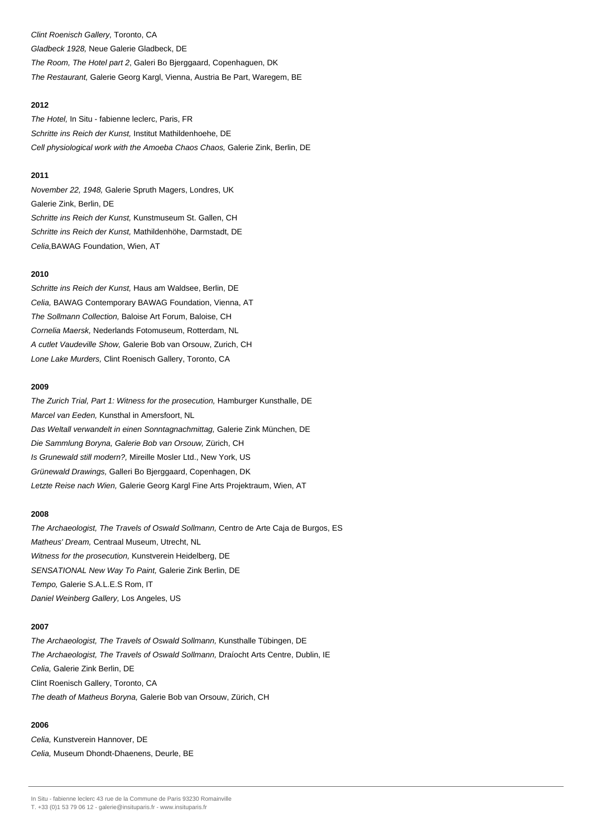Clint Roenisch Gallery, Toronto, CA Gladbeck 1928, Neue Galerie Gladbeck, DE The Room, The Hotel part 2, Galeri Bo Bjerggaard, Copenhaguen, DK The Restaurant, Galerie Georg Kargl, Vienna, Austria Be Part, Waregem, BE

## **2012**

The Hotel, In Situ - fabienne leclerc, Paris, FR Schritte ins Reich der Kunst, Institut Mathildenhoehe, DE Cell physiological work with the Amoeba Chaos Chaos, Galerie Zink, Berlin, DE

## **2011**

November 22, 1948, Galerie Spruth Magers, Londres, UK Galerie Zink, Berlin, DE Schritte ins Reich der Kunst, Kunstmuseum St. Gallen, CH Schritte ins Reich der Kunst, Mathildenhöhe, Darmstadt, DE Celia,BAWAG Foundation, Wien, AT

## **2010**

Schritte ins Reich der Kunst, Haus am Waldsee, Berlin, DE Celia, BAWAG Contemporary BAWAG Foundation, Vienna, AT The Sollmann Collection, Baloise Art Forum, Baloise, CH Cornelia Maersk, Nederlands Fotomuseum, Rotterdam, NL A cutlet Vaudeville Show, Galerie Bob van Orsouw, Zurich, CH Lone Lake Murders, Clint Roenisch Gallery, Toronto, CA

## **2009**

The Zurich Trial, Part 1: Witness for the prosecution, Hamburger Kunsthalle, DE Marcel van Eeden, Kunsthal in Amersfoort, NL Das Weltall verwandelt in einen Sonntagnachmittag, Galerie Zink München, DE Die Sammlung Boryna, Galerie Bob van Orsouw, Zürich, CH Is Grunewald still modern?, Mireille Mosler Ltd., New York, US Grünewald Drawings, Galleri Bo Bjerggaard, Copenhagen, DK Letzte Reise nach Wien, Galerie Georg Kargl Fine Arts Projektraum, Wien, AT

#### **2008**

The Archaeologist, The Travels of Oswald Sollmann, Centro de Arte Caja de Burgos, ES Matheus' Dream, Centraal Museum, Utrecht, NL Witness for the prosecution, Kunstverein Heidelberg, DE SENSATIONAL New Way To Paint, Galerie Zink Berlin, DE Tempo, Galerie S.A.L.E.S Rom, IT Daniel Weinberg Gallery, Los Angeles, US

## **2007**

The Archaeologist, The Travels of Oswald Sollmann, Kunsthalle Tübingen, DE The Archaeologist, The Travels of Oswald Sollmann, Draíocht Arts Centre, Dublin, IE Celia, Galerie Zink Berlin, DE Clint Roenisch Gallery, Toronto, CA The death of Matheus Boryna, Galerie Bob van Orsouw, Zürich, CH

## **2006**

Celia, Kunstverein Hannover, DE Celia, Museum Dhondt-Dhaenens, Deurle, BE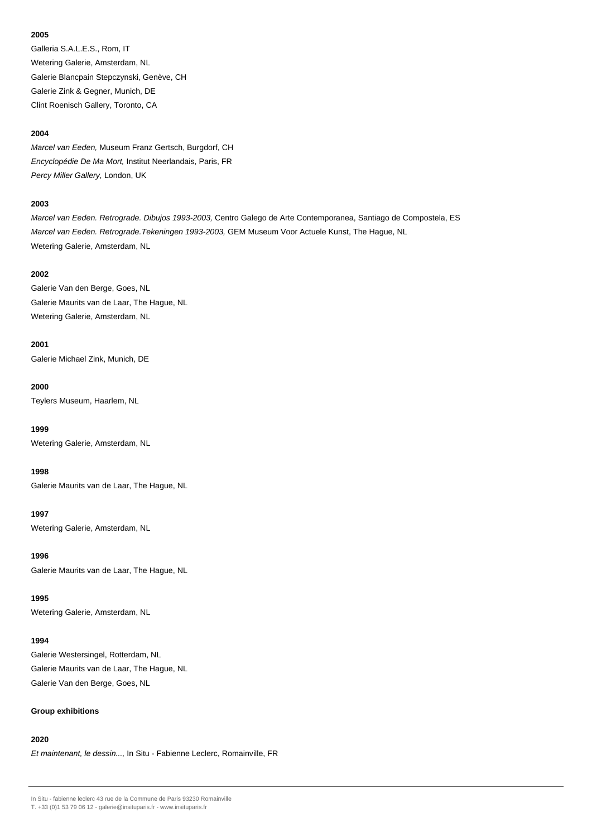Galleria S.A.L.E.S., Rom, IT Wetering Galerie, Amsterdam, NL Galerie Blancpain Stepczynski, Genève, CH Galerie Zink & Gegner, Munich, DE Clint Roenisch Gallery, Toronto, CA

## **2004**

Marcel van Eeden, Museum Franz Gertsch, Burgdorf, CH Encyclopédie De Ma Mort, Institut Neerlandais, Paris, FR Percy Miller Gallery, London, UK

## **2003**

Marcel van Eeden. Retrograde. Dibujos 1993-2003, Centro Galego de Arte Contemporanea, Santiago de Compostela, ES Marcel van Eeden. Retrograde.Tekeningen 1993-2003, GEM Museum Voor Actuele Kunst, The Hague, NL Wetering Galerie, Amsterdam, NL

## **2002**

Galerie Van den Berge, Goes, NL Galerie Maurits van de Laar, The Hague, NL Wetering Galerie, Amsterdam, NL

## **2001**

Galerie Michael Zink, Munich, DE

## **2000**

Teylers Museum, Haarlem, NL

**1999**

Wetering Galerie, Amsterdam, NL

## **1998**

Galerie Maurits van de Laar, The Hague, NL

## **1997**

Wetering Galerie, Amsterdam, NL

**1996**

Galerie Maurits van de Laar, The Hague, NL

## **1995**

Wetering Galerie, Amsterdam, NL

## **1994**

Galerie Westersingel, Rotterdam, NL Galerie Maurits van de Laar, The Hague, NL Galerie Van den Berge, Goes, NL

## **Group exhibitions**

## **2020**

Et maintenant, le dessin..., In Situ - Fabienne Leclerc, Romainville, FR

In Situ - fabienne leclerc 43 rue de la Commune de Paris 93230 Romainville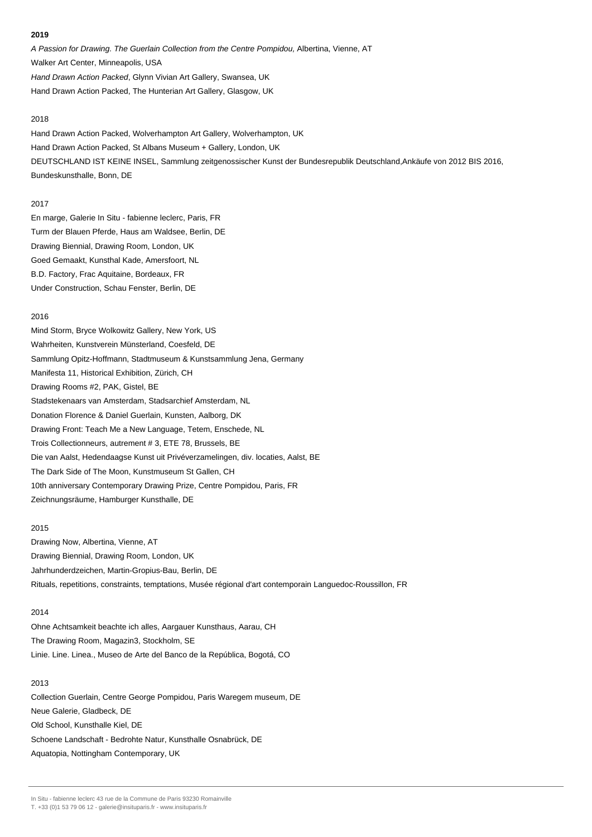A Passion for Drawing. The Guerlain Collection from the Centre Pompidou, Albertina, Vienne, AT Walker Art Center, Minneapolis, USA Hand Drawn Action Packed, Glynn Vivian Art Gallery, Swansea, UK Hand Drawn Action Packed, The Hunterian Art Gallery, Glasgow, UK

#### 2018

Hand Drawn Action Packed, Wolverhampton Art Gallery, Wolverhampton, UK Hand Drawn Action Packed, St Albans Museum + Gallery, London, UK DEUTSCHLAND IST KEINE INSEL, Sammlung zeitgenossischer Kunst der Bundesrepublik Deutschland,Ankäufe von 2012 BIS 2016, Bundeskunsthalle, Bonn, DE

## 2017

En marge, Galerie In Situ - fabienne leclerc, Paris, FR Turm der Blauen Pferde, Haus am Waldsee, Berlin, DE Drawing Biennial, Drawing Room, London, UK Goed Gemaakt, Kunsthal Kade, Amersfoort, NL B.D. Factory, Frac Aquitaine, Bordeaux, FR Under Construction, Schau Fenster, Berlin, DE

## 2016

Mind Storm, Bryce Wolkowitz Gallery, New York, US Wahrheiten, Kunstverein Münsterland, Coesfeld, DE Sammlung Opitz-Hoffmann, Stadtmuseum & Kunstsammlung Jena, Germany Manifesta 11, Historical Exhibition, Zürich, CH Drawing Rooms #2, PAK, Gistel, BE Stadstekenaars van Amsterdam, Stadsarchief Amsterdam, NL Donation Florence & Daniel Guerlain, Kunsten, Aalborg, DK Drawing Front: Teach Me a New Language, Tetem, Enschede, NL Trois Collectionneurs, autrement # 3, ETE 78, Brussels, BE Die van Aalst, Hedendaagse Kunst uit Privéverzamelingen, div. locaties, Aalst, BE The Dark Side of The Moon, Kunstmuseum St Gallen, CH 10th anniversary Contemporary Drawing Prize, Centre Pompidou, Paris, FR Zeichnungsräume, Hamburger Kunsthalle, DE

## 2015

Drawing Now, Albertina, Vienne, AT Drawing Biennial, Drawing Room, London, UK Jahrhunderdzeichen, Martin-Gropius-Bau, Berlin, DE Rituals, repetitions, constraints, temptations, Musée régional d'art contemporain Languedoc-Roussillon, FR

## 2014

Ohne Achtsamkeit beachte ich alles, Aargauer Kunsthaus, Aarau, CH The Drawing Room, Magazin3, Stockholm, SE Linie. Line. Linea., Museo de Arte del Banco de la República, Bogotá, CO

## 2013

Collection Guerlain, Centre George Pompidou, Paris Waregem museum, DE Neue Galerie, Gladbeck, DE Old School, Kunsthalle Kiel, DE Schoene Landschaft - Bedrohte Natur, Kunsthalle Osnabrück, DE Aquatopia, Nottingham Contemporary, UK

In Situ - fabienne leclerc 43 rue de la Commune de Paris 93230 Romainville

T. +33 (0)1 53 79 06 12 - galerie@insituparis.fr - www.insituparis.fr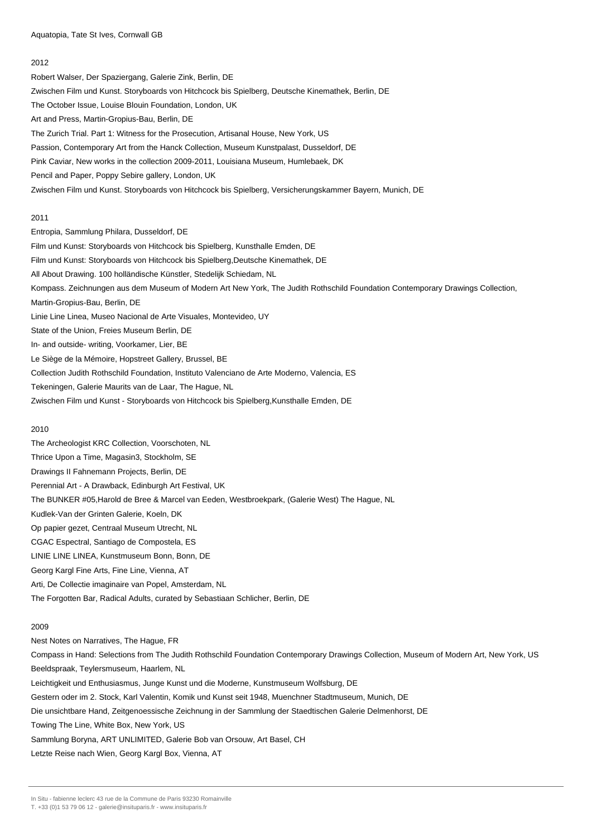Robert Walser, Der Spaziergang, Galerie Zink, Berlin, DE Zwischen Film und Kunst. Storyboards von Hitchcock bis Spielberg, Deutsche Kinemathek, Berlin, DE The October Issue, Louise Blouin Foundation, London, UK Art and Press, Martin-Gropius-Bau, Berlin, DE The Zurich Trial. Part 1: Witness for the Prosecution, Artisanal House, New York, US Passion, Contemporary Art from the Hanck Collection, Museum Kunstpalast, Dusseldorf, DE Pink Caviar, New works in the collection 2009-2011, Louisiana Museum, Humlebaek, DK Pencil and Paper, Poppy Sebire gallery, London, UK Zwischen Film und Kunst. Storyboards von Hitchcock bis Spielberg, Versicherungskammer Bayern, Munich, DE 2011

Entropia, Sammlung Philara, Dusseldorf, DE Film und Kunst: Storyboards von Hitchcock bis Spielberg, Kunsthalle Emden, DE Film und Kunst: Storyboards von Hitchcock bis Spielberg,Deutsche Kinemathek, DE All About Drawing. 100 holländische Künstler, Stedelijk Schiedam, NL Kompass. Zeichnungen aus dem Museum of Modern Art New York, The Judith Rothschild Foundation Contemporary Drawings Collection, Martin-Gropius-Bau, Berlin, DE Linie Line Linea, Museo Nacional de Arte Visuales, Montevideo, UY State of the Union, Freies Museum Berlin, DE In- and outside- writing, Voorkamer, Lier, BE Le Siège de la Mémoire, Hopstreet Gallery, Brussel, BE Collection Judith Rothschild Foundation, Instituto Valenciano de Arte Moderno, Valencia, ES Tekeningen, Galerie Maurits van de Laar, The Hague, NL Zwischen Film und Kunst - Storyboards von Hitchcock bis Spielberg,Kunsthalle Emden, DE

## 2010

The Archeologist KRC Collection, Voorschoten, NL Thrice Upon a Time, Magasin3, Stockholm, SE Drawings II Fahnemann Projects, Berlin, DE Perennial Art - A Drawback, Edinburgh Art Festival, UK The BUNKER #05,Harold de Bree & Marcel van Eeden, Westbroekpark, (Galerie West) The Hague, NL Kudlek-Van der Grinten Galerie, Koeln, DK Op papier gezet, Centraal Museum Utrecht, NL CGAC Espectral, Santiago de Compostela, ES LINIE LINE LINEA, Kunstmuseum Bonn, Bonn, DE Georg Kargl Fine Arts, Fine Line, Vienna, AT

Arti, De Collectie imaginaire van Popel, Amsterdam, NL

The Forgotten Bar, Radical Adults, curated by Sebastiaan Schlicher, Berlin, DE

#### 2009

Nest Notes on Narratives, The Hague, FR Compass in Hand: Selections from The Judith Rothschild Foundation Contemporary Drawings Collection, Museum of Modern Art, New York, US Beeldspraak, Teylersmuseum, Haarlem, NL Leichtigkeit und Enthusiasmus, Junge Kunst und die Moderne, Kunstmuseum Wolfsburg, DE Gestern oder im 2. Stock, Karl Valentin, Komik und Kunst seit 1948, Muenchner Stadtmuseum, Munich, DE Die unsichtbare Hand, Zeitgenoessische Zeichnung in der Sammlung der Staedtischen Galerie Delmenhorst, DE Towing The Line, White Box, New York, US Sammlung Boryna, ART UNLIMITED, Galerie Bob van Orsouw, Art Basel, CH Letzte Reise nach Wien, Georg Kargl Box, Vienna, AT

In Situ - fabienne leclerc 43 rue de la Commune de Paris 93230 Romainville

T. +33 (0)1 53 79 06 12 - galerie@insituparis.fr - www.insituparis.fr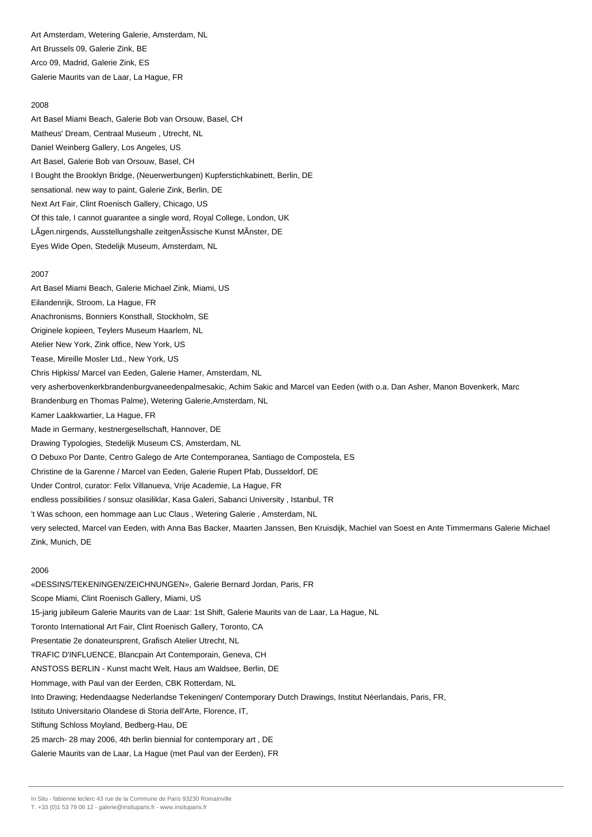Art Amsterdam, Wetering Galerie, Amsterdam, NL Art Brussels 09, Galerie Zink, BE Arco 09, Madrid, Galerie Zink, ES Galerie Maurits van de Laar, La Hague, FR

## 2008

Art Basel Miami Beach, Galerie Bob van Orsouw, Basel, CH Matheus' Dream, Centraal Museum , Utrecht, NL Daniel Weinberg Gallery, Los Angeles, US Art Basel, Galerie Bob van Orsouw, Basel, CH I Bought the Brooklyn Bridge, (Neuerwerbungen) Kupferstichkabinett, Berlin, DE sensational. new way to paint, Galerie Zink, Berlin, DE Next Art Fair, Clint Roenisch Gallery, Chicago, US Of this tale, I cannot guarantee a single word, Royal College, London, UK LÃgen.nirgends, Ausstellungshalle zeitgenÃssische Kunst MÃnster, DE Eyes Wide Open, Stedelijk Museum, Amsterdam, NL

#### 2007

Art Basel Miami Beach, Galerie Michael Zink, Miami, US Eilandenrijk, Stroom, La Hague, FR Anachronisms, Bonniers Konsthall, Stockholm, SE Originele kopieen, Teylers Museum Haarlem, NL Atelier New York, Zink office, New York, US Tease, Mireille Mosler Ltd., New York, US Chris Hipkiss/ Marcel van Eeden, Galerie Hamer, Amsterdam, NL very asherbovenkerkbrandenburgvaneedenpalmesakic, Achim Sakic and Marcel van Eeden (with o.a. Dan Asher, Manon Bovenkerk, Marc Brandenburg en Thomas Palme), Wetering Galerie,Amsterdam, NL Kamer Laakkwartier, La Hague, FR Made in Germany, kestnergesellschaft, Hannover, DE Drawing Typologies, Stedelijk Museum CS, Amsterdam, NL O Debuxo Por Dante, Centro Galego de Arte Contemporanea, Santiago de Compostela, ES Christine de la Garenne / Marcel van Eeden, Galerie Rupert Pfab, Dusseldorf, DE Under Control, curator: Felix Villanueva, Vrije Academie, La Hague, FR endless possibilities / sonsuz olasiliklar, Kasa Galeri, Sabanci University , Istanbul, TR 't Was schoon, een hommage aan Luc Claus , Wetering Galerie , Amsterdam, NL very selected, Marcel van Eeden, with Anna Bas Backer, Maarten Janssen, Ben Kruisdijk, Machiel van Soest en Ante Timmermans Galerie Michael Zink, Munich, DE

## 2006

«DESSINS/TEKENINGEN/ZEICHNUNGEN», Galerie Bernard Jordan, Paris, FR Scope Miami, Clint Roenisch Gallery, Miami, US 15-jarig jubileum Galerie Maurits van de Laar: 1st Shift, Galerie Maurits van de Laar, La Hague, NL Toronto International Art Fair, Clint Roenisch Gallery, Toronto, CA Presentatie 2e donateursprent, Grafisch Atelier Utrecht, NL TRAFIC D'INFLUENCE, Blancpain Art Contemporain, Geneva, CH ANSTOSS BERLIN - Kunst macht Welt, Haus am Waldsee, Berlin, DE Hommage, with Paul van der Eerden, CBK Rotterdam, NL Into Drawing; Hedendaagse Nederlandse Tekeningen/ Contemporary Dutch Drawings, Institut Néerlandais, Paris, FR, Istituto Universitario Olandese di Storia dell'Arte, Florence, IT, Stiftung Schloss Moyland, Bedberg-Hau, DE 25 march- 28 may 2006, 4th berlin biennial for contemporary art , DE Galerie Maurits van de Laar, La Hague (met Paul van der Eerden), FR

In Situ - fabienne leclerc 43 rue de la Commune de Paris 93230 Romainville

T. +33 (0)1 53 79 06 12 - galerie@insituparis.fr - www.insituparis.fr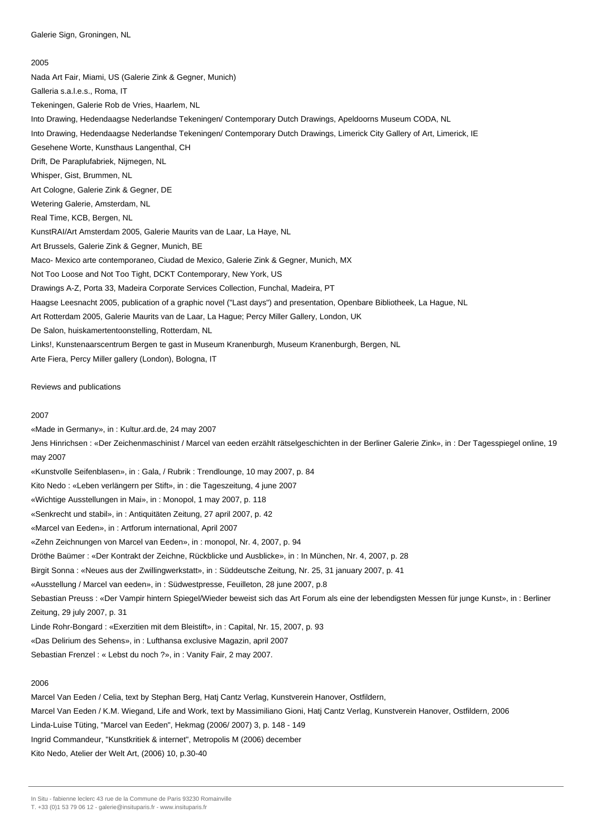Nada Art Fair, Miami, US (Galerie Zink & Gegner, Munich) Galleria s.a.l.e.s., Roma, IT Tekeningen, Galerie Rob de Vries, Haarlem, NL Into Drawing, Hedendaagse Nederlandse Tekeningen/ Contemporary Dutch Drawings, Apeldoorns Museum CODA, NL Into Drawing, Hedendaagse Nederlandse Tekeningen/ Contemporary Dutch Drawings, Limerick City Gallery of Art, Limerick, IE Gesehene Worte, Kunsthaus Langenthal, CH Drift, De Paraplufabriek, Nijmegen, NL Whisper, Gist, Brummen, NL Art Cologne, Galerie Zink & Gegner, DE Wetering Galerie, Amsterdam, NL Real Time, KCB, Bergen, NL KunstRAI/Art Amsterdam 2005, Galerie Maurits van de Laar, La Haye, NL Art Brussels, Galerie Zink & Gegner, Munich, BE Maco- Mexico arte contemporaneo, Ciudad de Mexico, Galerie Zink & Gegner, Munich, MX Not Too Loose and Not Too Tight, DCKT Contemporary, New York, US Drawings A-Z, Porta 33, Madeira Corporate Services Collection, Funchal, Madeira, PT Haagse Leesnacht 2005, publication of a graphic novel ("Last days") and presentation, Openbare Bibliotheek, La Hague, NL Art Rotterdam 2005, Galerie Maurits van de Laar, La Hague; Percy Miller Gallery, London, UK De Salon, huiskamertentoonstelling, Rotterdam, NL Links!, Kunstenaarscentrum Bergen te gast in Museum Kranenburgh, Museum Kranenburgh, Bergen, NL Arte Fiera, Percy Miller gallery (London), Bologna, IT

Reviews and publications

#### 2007

«Made in Germany», in : Kultur.ard.de, 24 may 2007

Jens Hinrichsen : «Der Zeichenmaschinist / Marcel van eeden erzählt rätselgeschichten in der Berliner Galerie Zink», in : Der Tagesspiegel online, 19 may 2007

«Kunstvolle Seifenblasen», in : Gala, / Rubrik : Trendlounge, 10 may 2007, p. 84

Kito Nedo : «Leben verlängern per Stift», in : die Tageszeitung, 4 june 2007

«Wichtige Ausstellungen in Mai», in : Monopol, 1 may 2007, p. 118

«Senkrecht und stabil», in : Antiquitäten Zeitung, 27 april 2007, p. 42

«Marcel van Eeden», in : Artforum international, April 2007

«Zehn Zeichnungen von Marcel van Eeden», in : monopol, Nr. 4, 2007, p. 94

Dröthe Baümer : «Der Kontrakt der Zeichne, Rückblicke und Ausblicke», in : In München, Nr. 4, 2007, p. 28

Birgit Sonna : «Neues aus der Zwillingwerkstatt», in : Süddeutsche Zeitung, Nr. 25, 31 january 2007, p. 41

«Ausstellung / Marcel van eeden», in : Südwestpresse, Feuilleton, 28 june 2007, p.8

Sebastian Preuss : «Der Vampir hintern Spiegel/Wieder beweist sich das Art Forum als eine der lebendigsten Messen für junge Kunst», in : Berliner Zeitung, 29 july 2007, p. 31

Linde Rohr-Bongard : «Exerzitien mit dem Bleistift», in : Capital, Nr. 15, 2007, p. 93

«Das Delirium des Sehens», in : Lufthansa exclusive Magazin, april 2007

Sebastian Frenzel : « Lebst du noch ?», in : Vanity Fair, 2 may 2007.

## 2006

Marcel Van Eeden / Celia, text by Stephan Berg, Hatj Cantz Verlag, Kunstverein Hanover, Ostfildern, Marcel Van Eeden / K.M. Wiegand, Life and Work, text by Massimiliano Gioni, Hatj Cantz Verlag, Kunstverein Hanover, Ostfildern, 2006 Linda-Luise Tüting, "Marcel van Eeden", Hekmag (2006/ 2007) 3, p. 148 - 149 Ingrid Commandeur, "Kunstkritiek & internet", Metropolis M (2006) december

Kito Nedo, Atelier der Welt Art, (2006) 10, p.30-40

In Situ - fabienne leclerc 43 rue de la Commune de Paris 93230 Romainville

T. +33 (0)1 53 79 06 12 - galerie@insituparis.fr - www.insituparis.fr